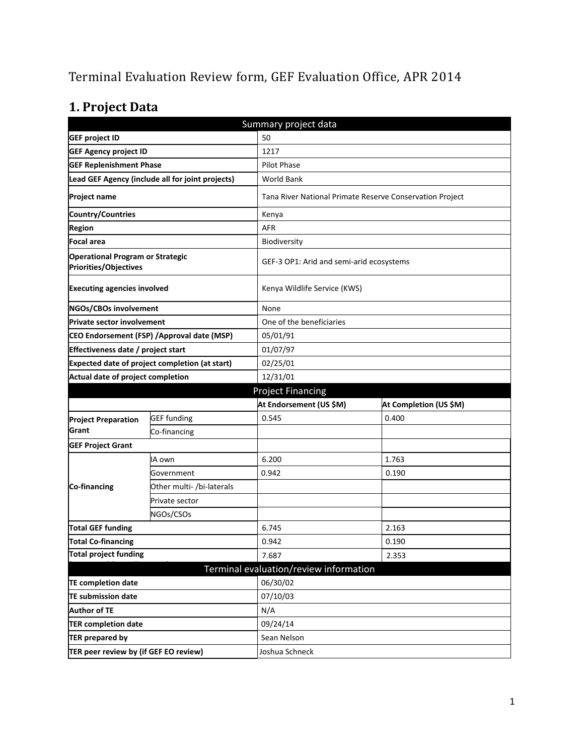# Terminal Evaluation Review form, GEF Evaluation Office, APR 2014

# **1. Project Data**

|                                                                         | Summary project data                             |                                        |                                                          |  |  |
|-------------------------------------------------------------------------|--------------------------------------------------|----------------------------------------|----------------------------------------------------------|--|--|
| <b>GEF project ID</b>                                                   |                                                  | 50                                     |                                                          |  |  |
| <b>GEF Agency project ID</b>                                            |                                                  | 1217                                   |                                                          |  |  |
| <b>GEF Replenishment Phase</b>                                          |                                                  | <b>Pilot Phase</b>                     |                                                          |  |  |
|                                                                         | Lead GEF Agency (include all for joint projects) | <b>World Bank</b>                      |                                                          |  |  |
| <b>Project name</b>                                                     |                                                  |                                        | Tana River National Primate Reserve Conservation Project |  |  |
| <b>Country/Countries</b>                                                |                                                  | Kenya                                  |                                                          |  |  |
| <b>Region</b>                                                           |                                                  | <b>AFR</b>                             |                                                          |  |  |
| <b>Focal area</b>                                                       |                                                  | Biodiversity                           |                                                          |  |  |
| <b>Operational Program or Strategic</b><br><b>Priorities/Objectives</b> |                                                  |                                        | GEF-3 OP1: Arid and semi-arid ecosystems                 |  |  |
| <b>Executing agencies involved</b>                                      |                                                  |                                        | Kenya Wildlife Service (KWS)                             |  |  |
| NGOs/CBOs involvement                                                   |                                                  | None                                   |                                                          |  |  |
| <b>Private sector involvement</b>                                       |                                                  | One of the beneficiaries               |                                                          |  |  |
| CEO Endorsement (FSP) / Approval date (MSP)                             |                                                  | 05/01/91                               |                                                          |  |  |
| Effectiveness date / project start                                      |                                                  | 01/07/97                               |                                                          |  |  |
| <b>Expected date of project completion (at start)</b>                   |                                                  | 02/25/01                               |                                                          |  |  |
| Actual date of project completion                                       |                                                  | 12/31/01                               |                                                          |  |  |
|                                                                         |                                                  | <b>Project Financing</b>               |                                                          |  |  |
|                                                                         |                                                  | At Endorsement (US \$M)                | At Completion (US \$M)                                   |  |  |
| <b>Project Preparation</b>                                              | <b>GEF</b> funding                               | 0.545                                  | 0.400                                                    |  |  |
| Grant                                                                   | Co-financing                                     |                                        |                                                          |  |  |
| <b>GEF Project Grant</b>                                                |                                                  |                                        |                                                          |  |  |
|                                                                         | IA own                                           | 6.200                                  | 1.763                                                    |  |  |
|                                                                         | Government                                       | 0.942                                  | 0.190                                                    |  |  |
| Co-financing                                                            | Other multi- /bi-laterals                        |                                        |                                                          |  |  |
|                                                                         | Private sector                                   |                                        |                                                          |  |  |
|                                                                         | NGOs/CSOs                                        |                                        |                                                          |  |  |
| <b>Total GEF funding</b>                                                |                                                  | 6.745                                  | 2.163                                                    |  |  |
| <b>Total Co-financing</b>                                               |                                                  | 0.942                                  | 0.190                                                    |  |  |
| <b>Total project funding</b>                                            |                                                  | 7.687                                  | 2.353                                                    |  |  |
|                                                                         |                                                  | Terminal evaluation/review information |                                                          |  |  |
| <b>TE completion date</b>                                               |                                                  | 06/30/02                               |                                                          |  |  |
| <b>TE submission date</b>                                               |                                                  | 07/10/03                               |                                                          |  |  |
| <b>Author of TE</b>                                                     |                                                  | N/A                                    |                                                          |  |  |
| <b>TER completion date</b>                                              |                                                  | 09/24/14                               |                                                          |  |  |
| <b>TER prepared by</b>                                                  |                                                  | Sean Nelson                            |                                                          |  |  |
| TER peer review by (if GEF EO review)                                   |                                                  | Joshua Schneck                         |                                                          |  |  |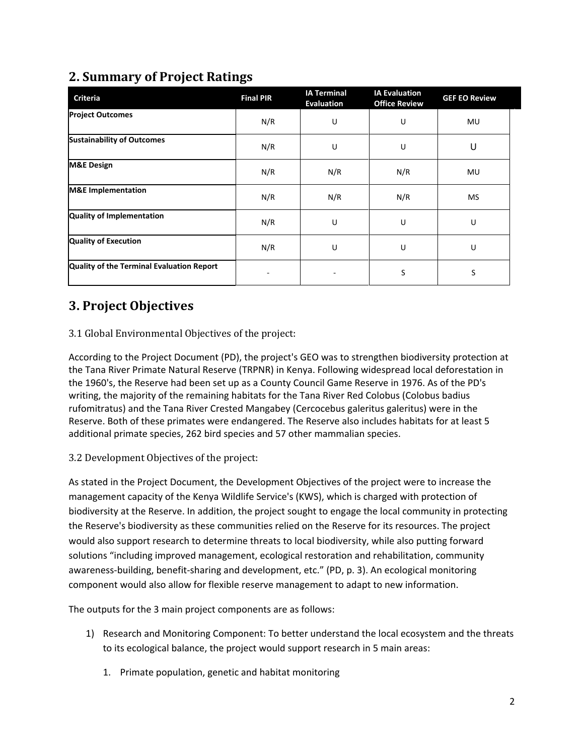# **2. Summary of Project Ratings**

| <b>Criteria</b>                           | <b>Final PIR</b> | <b>IA Terminal</b><br><b>Evaluation</b> | <b>IA Evaluation</b><br><b>Office Review</b> | <b>GEF EO Review</b> |
|-------------------------------------------|------------------|-----------------------------------------|----------------------------------------------|----------------------|
| <b>Project Outcomes</b>                   | N/R              | U                                       | U                                            | MU                   |
| <b>Sustainability of Outcomes</b>         | N/R              | U                                       | U                                            | U                    |
| <b>M&amp;E Design</b>                     | N/R              | N/R                                     | N/R                                          | MU                   |
| <b>M&amp;E</b> Implementation             | N/R              | N/R                                     | N/R                                          | MS                   |
| <b>Quality of Implementation</b>          | N/R              | U                                       | U                                            | U                    |
| <b>Quality of Execution</b>               | N/R              | U                                       | U                                            | U                    |
| Quality of the Terminal Evaluation Report |                  |                                         | S                                            | S                    |

# **3. Project Objectives**

### 3.1 Global Environmental Objectives of the project:

According to the Project Document (PD), the project's GEO was to strengthen biodiversity protection at the Tana River Primate Natural Reserve (TRPNR) in Kenya. Following widespread local deforestation in the 1960's, the Reserve had been set up as a County Council Game Reserve in 1976. As of the PD's writing, the majority of the remaining habitats for the Tana River Red Colobus (Colobus badius rufomitratus) and the Tana River Crested Mangabey (Cercocebus galeritus galeritus) were in the Reserve. Both of these primates were endangered. The Reserve also includes habitats for at least 5 additional primate species, 262 bird species and 57 other mammalian species.

### 3.2 Development Objectives of the project:

As stated in the Project Document, the Development Objectives of the project were to increase the management capacity of the Kenya Wildlife Service's (KWS), which is charged with protection of biodiversity at the Reserve. In addition, the project sought to engage the local community in protecting the Reserve's biodiversity as these communities relied on the Reserve for its resources. The project would also support research to determine threats to local biodiversity, while also putting forward solutions "including improved management, ecological restoration and rehabilitation, community awareness-building, benefit-sharing and development, etc." (PD, p. 3). An ecological monitoring component would also allow for flexible reserve management to adapt to new information.

The outputs for the 3 main project components are as follows:

- 1) Research and Monitoring Component: To better understand the local ecosystem and the threats to its ecological balance, the project would support research in 5 main areas:
	- 1. Primate population, genetic and habitat monitoring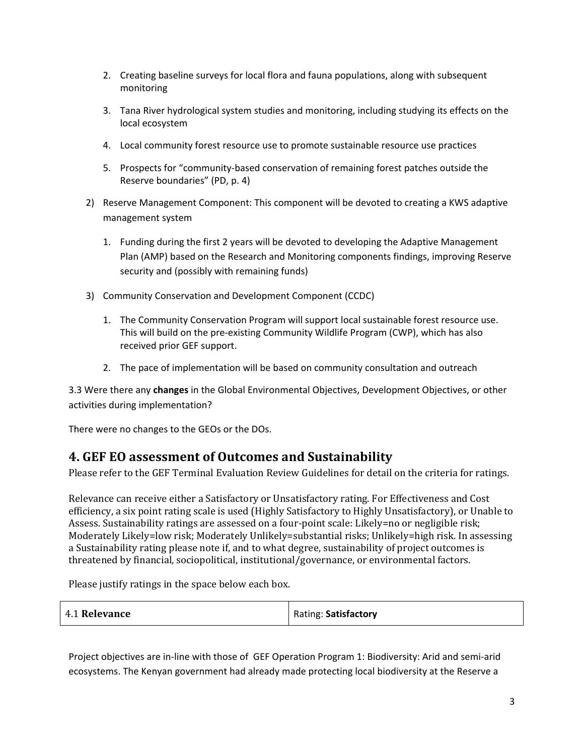- 2. Creating baseline surveys for local flora and fauna populations, along with subsequent monitoring
- 3. Tana River hydrological system studies and monitoring, including studying its effects on the local ecosystem
- 4. Local community forest resource use to promote sustainable resource use practices
- 5. Prospects for "community-based conservation of remaining forest patches outside the Reserve boundaries" (PD, p. 4)
- 2) Reserve Management Component: This component will be devoted to creating a KWS adaptive management system
	- 1. Funding during the first 2 years will be devoted to developing the Adaptive Management Plan (AMP) based on the Research and Monitoring components findings, improving Reserve security and (possibly with remaining funds)
- 3) Community Conservation and Development Component (CCDC)
	- 1. The Community Conservation Program will support local sustainable forest resource use. This will build on the pre-existing Community Wildlife Program (CWP), which has also received prior GEF support.
	- 2. The pace of implementation will be based on community consultation and outreach

3.3 Were there any **changes** in the Global Environmental Objectives, Development Objectives, or other activities during implementation?

There were no changes to the GEOs or the DOs.

### **4. GEF EO assessment of Outcomes and Sustainability**

Please refer to the GEF Terminal Evaluation Review Guidelines for detail on the criteria for ratings.

Relevance can receive either a Satisfactory or Unsatisfactory rating. For Effectiveness and Cost efficiency, a six point rating scale is used (Highly Satisfactory to Highly Unsatisfactory), or Unable to Assess. Sustainability ratings are assessed on a four-point scale: Likely=no or negligible risk; Moderately Likely=low risk; Moderately Unlikely=substantial risks; Unlikely=high risk. In assessing a Sustainability rating please note if, and to what degree, sustainability of project outcomes is threatened by financial, sociopolitical, institutional/governance, or environmental factors.

Please justify ratings in the space below each box.

| 4.1 Relevance | Rating: Satisfactory |
|---------------|----------------------|
|               |                      |

Project objectives are in-line with those of GEF Operation Program 1: Biodiversity: Arid and semi-arid ecosystems. The Kenyan government had already made protecting local biodiversity at the Reserve a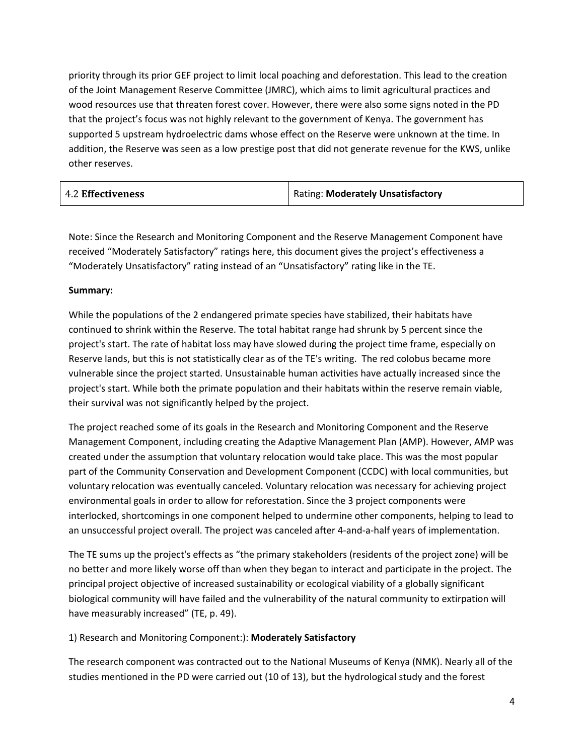priority through its prior GEF project to limit local poaching and deforestation. This lead to the creation of the Joint Management Reserve Committee (JMRC), which aims to limit agricultural practices and wood resources use that threaten forest cover. However, there were also some signs noted in the PD that the project's focus was not highly relevant to the government of Kenya. The government has supported 5 upstream hydroelectric dams whose effect on the Reserve were unknown at the time. In addition, the Reserve was seen as a low prestige post that did not generate revenue for the KWS, unlike other reserves.

| <b>4.2 Effectiveness</b> | Rating: Moderately Unsatisfactory |
|--------------------------|-----------------------------------|
|                          |                                   |

Note: Since the Research and Monitoring Component and the Reserve Management Component have received "Moderately Satisfactory" ratings here, this document gives the project's effectiveness a "Moderately Unsatisfactory" rating instead of an "Unsatisfactory" rating like in the TE.

### **Summary:**

While the populations of the 2 endangered primate species have stabilized, their habitats have continued to shrink within the Reserve. The total habitat range had shrunk by 5 percent since the project's start. The rate of habitat loss may have slowed during the project time frame, especially on Reserve lands, but this is not statistically clear as of the TE's writing. The red colobus became more vulnerable since the project started. Unsustainable human activities have actually increased since the project's start. While both the primate population and their habitats within the reserve remain viable, their survival was not significantly helped by the project.

The project reached some of its goals in the Research and Monitoring Component and the Reserve Management Component, including creating the Adaptive Management Plan (AMP). However, AMP was created under the assumption that voluntary relocation would take place. This was the most popular part of the Community Conservation and Development Component (CCDC) with local communities, but voluntary relocation was eventually canceled. Voluntary relocation was necessary for achieving project environmental goals in order to allow for reforestation. Since the 3 project components were interlocked, shortcomings in one component helped to undermine other components, helping to lead to an unsuccessful project overall. The project was canceled after 4-and-a-half years of implementation.

The TE sums up the project's effects as "the primary stakeholders (residents of the project zone) will be no better and more likely worse off than when they began to interact and participate in the project. The principal project objective of increased sustainability or ecological viability of a globally significant biological community will have failed and the vulnerability of the natural community to extirpation will have measurably increased" (TE, p. 49).

#### 1) Research and Monitoring Component:): **Moderately Satisfactory**

The research component was contracted out to the National Museums of Kenya (NMK). Nearly all of the studies mentioned in the PD were carried out (10 of 13), but the hydrological study and the forest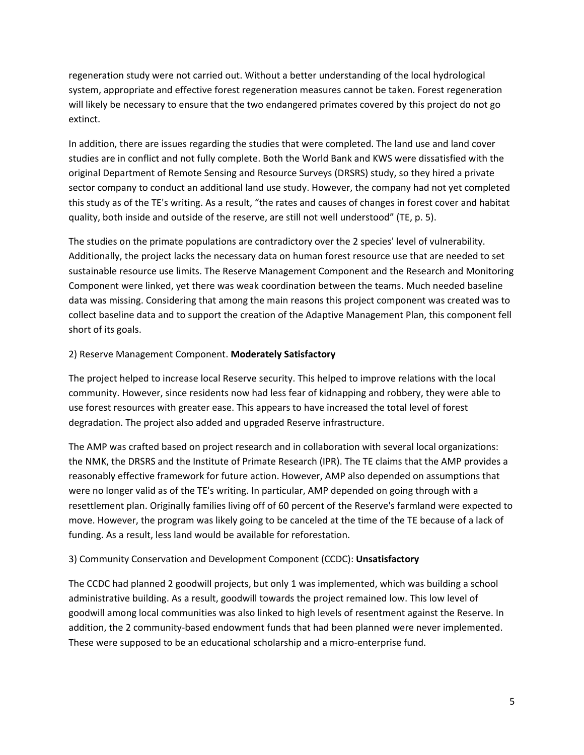regeneration study were not carried out. Without a better understanding of the local hydrological system, appropriate and effective forest regeneration measures cannot be taken. Forest regeneration will likely be necessary to ensure that the two endangered primates covered by this project do not go extinct.

In addition, there are issues regarding the studies that were completed. The land use and land cover studies are in conflict and not fully complete. Both the World Bank and KWS were dissatisfied with the original Department of Remote Sensing and Resource Surveys (DRSRS) study, so they hired a private sector company to conduct an additional land use study. However, the company had not yet completed this study as of the TE's writing. As a result, "the rates and causes of changes in forest cover and habitat quality, both inside and outside of the reserve, are still not well understood" (TE, p. 5).

The studies on the primate populations are contradictory over the 2 species' level of vulnerability. Additionally, the project lacks the necessary data on human forest resource use that are needed to set sustainable resource use limits. The Reserve Management Component and the Research and Monitoring Component were linked, yet there was weak coordination between the teams. Much needed baseline data was missing. Considering that among the main reasons this project component was created was to collect baseline data and to support the creation of the Adaptive Management Plan, this component fell short of its goals.

#### 2) Reserve Management Component. **Moderately Satisfactory**

The project helped to increase local Reserve security. This helped to improve relations with the local community. However, since residents now had less fear of kidnapping and robbery, they were able to use forest resources with greater ease. This appears to have increased the total level of forest degradation. The project also added and upgraded Reserve infrastructure.

The AMP was crafted based on project research and in collaboration with several local organizations: the NMK, the DRSRS and the Institute of Primate Research (IPR). The TE claims that the AMP provides a reasonably effective framework for future action. However, AMP also depended on assumptions that were no longer valid as of the TE's writing. In particular, AMP depended on going through with a resettlement plan. Originally families living off of 60 percent of the Reserve's farmland were expected to move. However, the program was likely going to be canceled at the time of the TE because of a lack of funding. As a result, less land would be available for reforestation.

#### 3) Community Conservation and Development Component (CCDC): **Unsatisfactory**

The CCDC had planned 2 goodwill projects, but only 1 was implemented, which was building a school administrative building. As a result, goodwill towards the project remained low. This low level of goodwill among local communities was also linked to high levels of resentment against the Reserve. In addition, the 2 community-based endowment funds that had been planned were never implemented. These were supposed to be an educational scholarship and a micro-enterprise fund.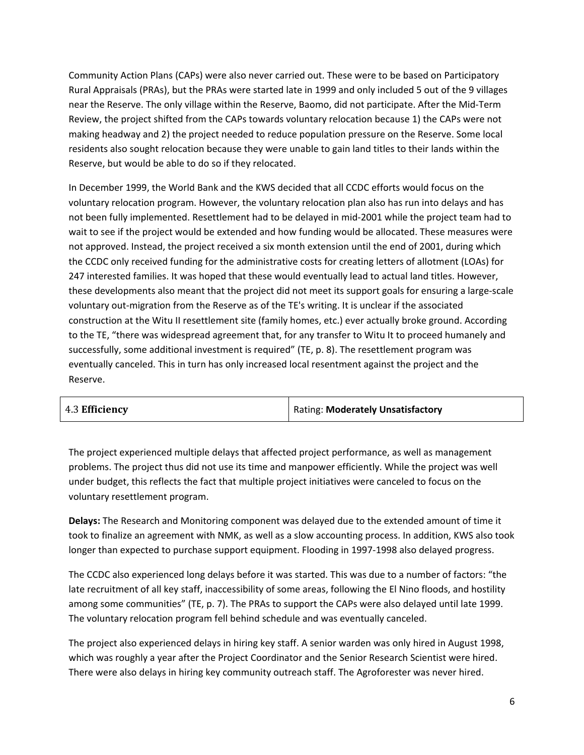Community Action Plans (CAPs) were also never carried out. These were to be based on Participatory Rural Appraisals (PRAs), but the PRAs were started late in 1999 and only included 5 out of the 9 villages near the Reserve. The only village within the Reserve, Baomo, did not participate. After the Mid-Term Review, the project shifted from the CAPs towards voluntary relocation because 1) the CAPs were not making headway and 2) the project needed to reduce population pressure on the Reserve. Some local residents also sought relocation because they were unable to gain land titles to their lands within the Reserve, but would be able to do so if they relocated.

In December 1999, the World Bank and the KWS decided that all CCDC efforts would focus on the voluntary relocation program. However, the voluntary relocation plan also has run into delays and has not been fully implemented. Resettlement had to be delayed in mid-2001 while the project team had to wait to see if the project would be extended and how funding would be allocated. These measures were not approved. Instead, the project received a six month extension until the end of 2001, during which the CCDC only received funding for the administrative costs for creating letters of allotment (LOAs) for 247 interested families. It was hoped that these would eventually lead to actual land titles. However, these developments also meant that the project did not meet its support goals for ensuring a large-scale voluntary out-migration from the Reserve as of the TE's writing. It is unclear if the associated construction at the Witu II resettlement site (family homes, etc.) ever actually broke ground. According to the TE, "there was widespread agreement that, for any transfer to Witu It to proceed humanely and successfully, some additional investment is required" (TE, p. 8). The resettlement program was eventually canceled. This in turn has only increased local resentment against the project and the Reserve.

| 4.3 Efficiency | Rating: Moderately Unsatisfactory |
|----------------|-----------------------------------|
|                |                                   |

The project experienced multiple delays that affected project performance, as well as management problems. The project thus did not use its time and manpower efficiently. While the project was well under budget, this reflects the fact that multiple project initiatives were canceled to focus on the voluntary resettlement program.

**Delays:** The Research and Monitoring component was delayed due to the extended amount of time it took to finalize an agreement with NMK, as well as a slow accounting process. In addition, KWS also took longer than expected to purchase support equipment. Flooding in 1997-1998 also delayed progress.

The CCDC also experienced long delays before it was started. This was due to a number of factors: "the late recruitment of all key staff, inaccessibility of some areas, following the El Nino floods, and hostility among some communities" (TE, p. 7). The PRAs to support the CAPs were also delayed until late 1999. The voluntary relocation program fell behind schedule and was eventually canceled.

The project also experienced delays in hiring key staff. A senior warden was only hired in August 1998, which was roughly a year after the Project Coordinator and the Senior Research Scientist were hired. There were also delays in hiring key community outreach staff. The Agroforester was never hired.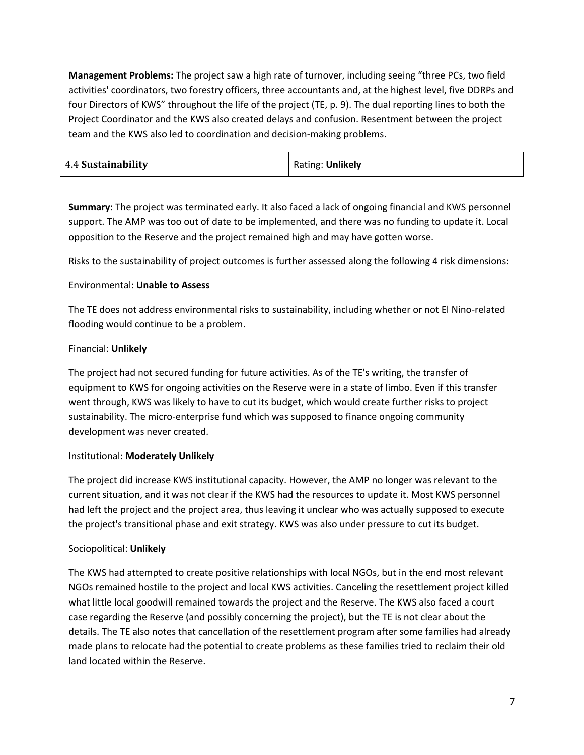**Management Problems:** The project saw a high rate of turnover, including seeing "three PCs, two field activities' coordinators, two forestry officers, three accountants and, at the highest level, five DDRPs and four Directors of KWS" throughout the life of the project (TE, p. 9). The dual reporting lines to both the Project Coordinator and the KWS also created delays and confusion. Resentment between the project team and the KWS also led to coordination and decision-making problems.

| 4.4 Sustainability | Rating: Unlikely |
|--------------------|------------------|
|--------------------|------------------|

**Summary:** The project was terminated early. It also faced a lack of ongoing financial and KWS personnel support. The AMP was too out of date to be implemented, and there was no funding to update it. Local opposition to the Reserve and the project remained high and may have gotten worse.

Risks to the sustainability of project outcomes is further assessed along the following 4 risk dimensions:

### Environmental: **Unable to Assess**

The TE does not address environmental risks to sustainability, including whether or not El Nino-related flooding would continue to be a problem.

### Financial: **Unlikely**

The project had not secured funding for future activities. As of the TE's writing, the transfer of equipment to KWS for ongoing activities on the Reserve were in a state of limbo. Even if this transfer went through, KWS was likely to have to cut its budget, which would create further risks to project sustainability. The micro-enterprise fund which was supposed to finance ongoing community development was never created.

### Institutional: **Moderately Unlikely**

The project did increase KWS institutional capacity. However, the AMP no longer was relevant to the current situation, and it was not clear if the KWS had the resources to update it. Most KWS personnel had left the project and the project area, thus leaving it unclear who was actually supposed to execute the project's transitional phase and exit strategy. KWS was also under pressure to cut its budget.

### Sociopolitical: **Unlikely**

The KWS had attempted to create positive relationships with local NGOs, but in the end most relevant NGOs remained hostile to the project and local KWS activities. Canceling the resettlement project killed what little local goodwill remained towards the project and the Reserve. The KWS also faced a court case regarding the Reserve (and possibly concerning the project), but the TE is not clear about the details. The TE also notes that cancellation of the resettlement program after some families had already made plans to relocate had the potential to create problems as these families tried to reclaim their old land located within the Reserve.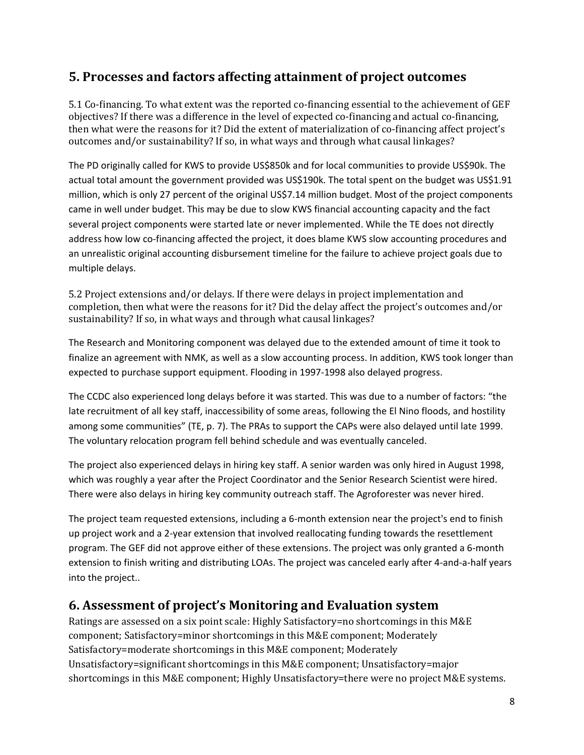## **5. Processes and factors affecting attainment of project outcomes**

5.1 Co-financing. To what extent was the reported co-financing essential to the achievement of GEF objectives? If there was a difference in the level of expected co-financing and actual co-financing, then what were the reasons for it? Did the extent of materialization of co-financing affect project's outcomes and/or sustainability? If so, in what ways and through what causal linkages?

The PD originally called for KWS to provide US\$850k and for local communities to provide US\$90k. The actual total amount the government provided was US\$190k. The total spent on the budget was US\$1.91 million, which is only 27 percent of the original US\$7.14 million budget. Most of the project components came in well under budget. This may be due to slow KWS financial accounting capacity and the fact several project components were started late or never implemented. While the TE does not directly address how low co-financing affected the project, it does blame KWS slow accounting procedures and an unrealistic original accounting disbursement timeline for the failure to achieve project goals due to multiple delays.

5.2 Project extensions and/or delays. If there were delays in project implementation and completion, then what were the reasons for it? Did the delay affect the project's outcomes and/or sustainability? If so, in what ways and through what causal linkages?

The Research and Monitoring component was delayed due to the extended amount of time it took to finalize an agreement with NMK, as well as a slow accounting process. In addition, KWS took longer than expected to purchase support equipment. Flooding in 1997-1998 also delayed progress.

The CCDC also experienced long delays before it was started. This was due to a number of factors: "the late recruitment of all key staff, inaccessibility of some areas, following the El Nino floods, and hostility among some communities" (TE, p. 7). The PRAs to support the CAPs were also delayed until late 1999. The voluntary relocation program fell behind schedule and was eventually canceled.

The project also experienced delays in hiring key staff. A senior warden was only hired in August 1998, which was roughly a year after the Project Coordinator and the Senior Research Scientist were hired. There were also delays in hiring key community outreach staff. The Agroforester was never hired.

The project team requested extensions, including a 6-month extension near the project's end to finish up project work and a 2-year extension that involved reallocating funding towards the resettlement program. The GEF did not approve either of these extensions. The project was only granted a 6-month extension to finish writing and distributing LOAs. The project was canceled early after 4-and-a-half years into the project..

## **6. Assessment of project's Monitoring and Evaluation system**

Ratings are assessed on a six point scale: Highly Satisfactory=no shortcomings in this M&E component; Satisfactory=minor shortcomings in this M&E component; Moderately Satisfactory=moderate shortcomings in this M&E component; Moderately Unsatisfactory=significant shortcomings in this M&E component; Unsatisfactory=major shortcomings in this M&E component; Highly Unsatisfactory=there were no project M&E systems.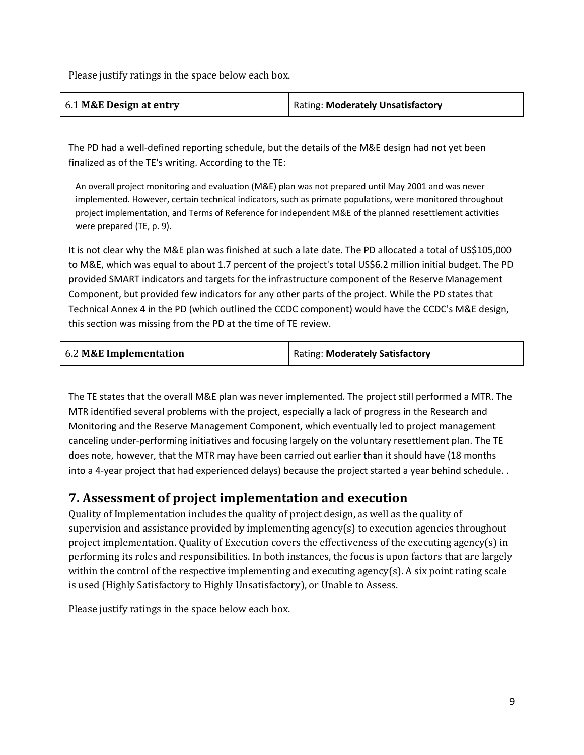Please justify ratings in the space below each box.

| 6.1 M&E Design at entry | Rating: Moderately Unsatisfactory |
|-------------------------|-----------------------------------|
|-------------------------|-----------------------------------|

The PD had a well-defined reporting schedule, but the details of the M&E design had not yet been finalized as of the TE's writing. According to the TE:

An overall project monitoring and evaluation (M&E) plan was not prepared until May 2001 and was never implemented. However, certain technical indicators, such as primate populations, were monitored throughout project implementation, and Terms of Reference for independent M&E of the planned resettlement activities were prepared (TE, p. 9).

It is not clear why the M&E plan was finished at such a late date. The PD allocated a total of US\$105,000 to M&E, which was equal to about 1.7 percent of the project's total US\$6.2 million initial budget. The PD provided SMART indicators and targets for the infrastructure component of the Reserve Management Component, but provided few indicators for any other parts of the project. While the PD states that Technical Annex 4 in the PD (which outlined the CCDC component) would have the CCDC's M&E design, this section was missing from the PD at the time of TE review.

| 6.2 M&E Implementation | Rating: Moderately Satisfactory |
|------------------------|---------------------------------|
|                        |                                 |

The TE states that the overall M&E plan was never implemented. The project still performed a MTR. The MTR identified several problems with the project, especially a lack of progress in the Research and Monitoring and the Reserve Management Component, which eventually led to project management canceling under-performing initiatives and focusing largely on the voluntary resettlement plan. The TE does note, however, that the MTR may have been carried out earlier than it should have (18 months into a 4-year project that had experienced delays) because the project started a year behind schedule. .

### **7. Assessment of project implementation and execution**

Quality of Implementation includes the quality of project design, as well as the quality of supervision and assistance provided by implementing agency(s) to execution agencies throughout project implementation. Quality of Execution covers the effectiveness of the executing agency(s) in performing its roles and responsibilities. In both instances, the focus is upon factors that are largely within the control of the respective implementing and executing agency(s). A six point rating scale is used (Highly Satisfactory to Highly Unsatisfactory), or Unable to Assess.

Please justify ratings in the space below each box.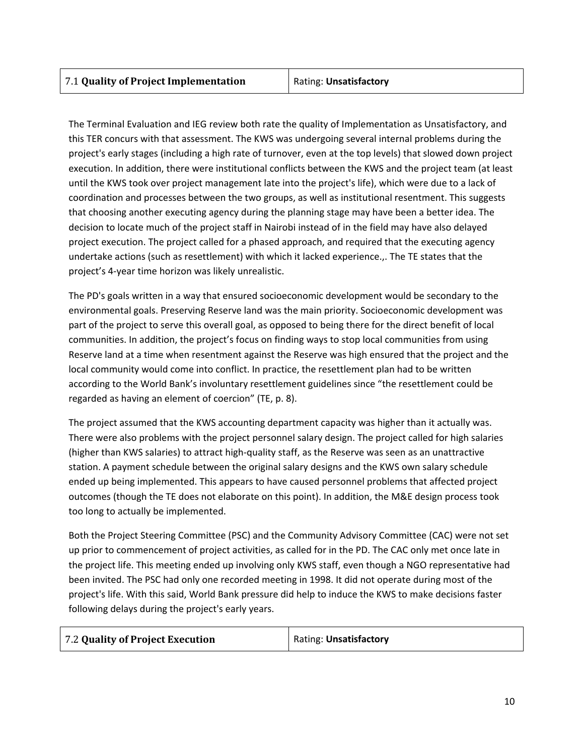The Terminal Evaluation and IEG review both rate the quality of Implementation as Unsatisfactory, and this TER concurs with that assessment. The KWS was undergoing several internal problems during the project's early stages (including a high rate of turnover, even at the top levels) that slowed down project execution. In addition, there were institutional conflicts between the KWS and the project team (at least until the KWS took over project management late into the project's life), which were due to a lack of coordination and processes between the two groups, as well as institutional resentment. This suggests that choosing another executing agency during the planning stage may have been a better idea. The decision to locate much of the project staff in Nairobi instead of in the field may have also delayed project execution. The project called for a phased approach, and required that the executing agency undertake actions (such as resettlement) with which it lacked experience.,. The TE states that the project's 4-year time horizon was likely unrealistic.

The PD's goals written in a way that ensured socioeconomic development would be secondary to the environmental goals. Preserving Reserve land was the main priority. Socioeconomic development was part of the project to serve this overall goal, as opposed to being there for the direct benefit of local communities. In addition, the project's focus on finding ways to stop local communities from using Reserve land at a time when resentment against the Reserve was high ensured that the project and the local community would come into conflict. In practice, the resettlement plan had to be written according to the World Bank's involuntary resettlement guidelines since "the resettlement could be regarded as having an element of coercion" (TE, p. 8).

The project assumed that the KWS accounting department capacity was higher than it actually was. There were also problems with the project personnel salary design. The project called for high salaries (higher than KWS salaries) to attract high-quality staff, as the Reserve was seen as an unattractive station. A payment schedule between the original salary designs and the KWS own salary schedule ended up being implemented. This appears to have caused personnel problems that affected project outcomes (though the TE does not elaborate on this point). In addition, the M&E design process took too long to actually be implemented.

Both the Project Steering Committee (PSC) and the Community Advisory Committee (CAC) were not set up prior to commencement of project activities, as called for in the PD. The CAC only met once late in the project life. This meeting ended up involving only KWS staff, even though a NGO representative had been invited. The PSC had only one recorded meeting in 1998. It did not operate during most of the project's life. With this said, World Bank pressure did help to induce the KWS to make decisions faster following delays during the project's early years.

| 7.2 Quality of Project Execution | Rating: Unsatisfactory |
|----------------------------------|------------------------|
|----------------------------------|------------------------|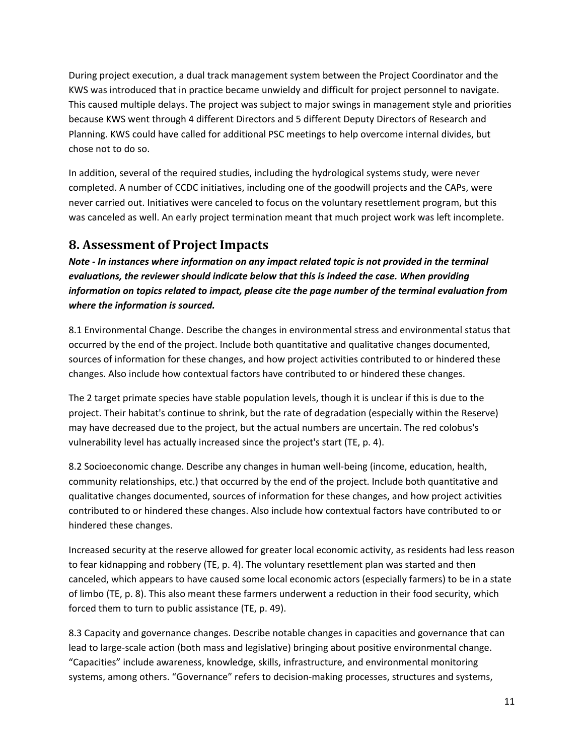During project execution, a dual track management system between the Project Coordinator and the KWS was introduced that in practice became unwieldy and difficult for project personnel to navigate. This caused multiple delays. The project was subject to major swings in management style and priorities because KWS went through 4 different Directors and 5 different Deputy Directors of Research and Planning. KWS could have called for additional PSC meetings to help overcome internal divides, but chose not to do so.

In addition, several of the required studies, including the hydrological systems study, were never completed. A number of CCDC initiatives, including one of the goodwill projects and the CAPs, were never carried out. Initiatives were canceled to focus on the voluntary resettlement program, but this was canceled as well. An early project termination meant that much project work was left incomplete.

### **8. Assessment of Project Impacts**

*Note - In instances where information on any impact related topic is not provided in the terminal evaluations, the reviewer should indicate below that this is indeed the case. When providing information on topics related to impact, please cite the page number of the terminal evaluation from where the information is sourced.*

8.1 Environmental Change. Describe the changes in environmental stress and environmental status that occurred by the end of the project. Include both quantitative and qualitative changes documented, sources of information for these changes, and how project activities contributed to or hindered these changes. Also include how contextual factors have contributed to or hindered these changes.

The 2 target primate species have stable population levels, though it is unclear if this is due to the project. Their habitat's continue to shrink, but the rate of degradation (especially within the Reserve) may have decreased due to the project, but the actual numbers are uncertain. The red colobus's vulnerability level has actually increased since the project's start (TE, p. 4).

8.2 Socioeconomic change. Describe any changes in human well-being (income, education, health, community relationships, etc.) that occurred by the end of the project. Include both quantitative and qualitative changes documented, sources of information for these changes, and how project activities contributed to or hindered these changes. Also include how contextual factors have contributed to or hindered these changes.

Increased security at the reserve allowed for greater local economic activity, as residents had less reason to fear kidnapping and robbery (TE, p. 4). The voluntary resettlement plan was started and then canceled, which appears to have caused some local economic actors (especially farmers) to be in a state of limbo (TE, p. 8). This also meant these farmers underwent a reduction in their food security, which forced them to turn to public assistance (TE, p. 49).

8.3 Capacity and governance changes. Describe notable changes in capacities and governance that can lead to large-scale action (both mass and legislative) bringing about positive environmental change. "Capacities" include awareness, knowledge, skills, infrastructure, and environmental monitoring systems, among others. "Governance" refers to decision-making processes, structures and systems,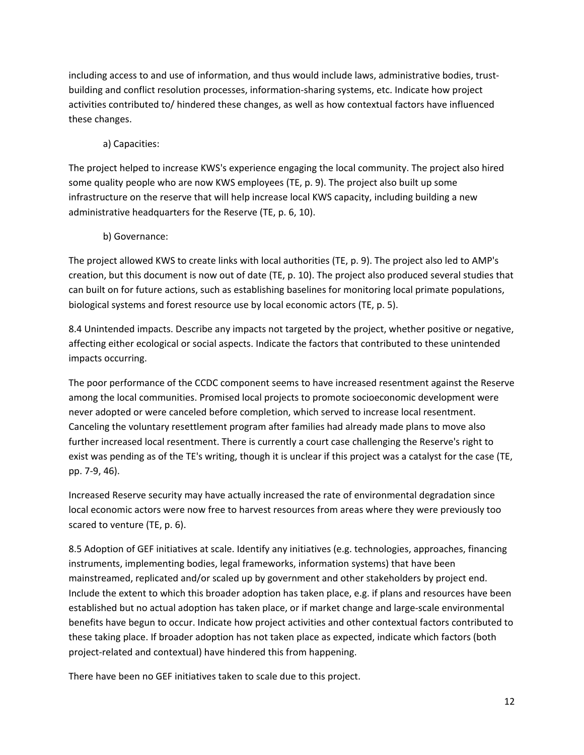including access to and use of information, and thus would include laws, administrative bodies, trustbuilding and conflict resolution processes, information-sharing systems, etc. Indicate how project activities contributed to/ hindered these changes, as well as how contextual factors have influenced these changes.

### a) Capacities:

The project helped to increase KWS's experience engaging the local community. The project also hired some quality people who are now KWS employees (TE, p. 9). The project also built up some infrastructure on the reserve that will help increase local KWS capacity, including building a new administrative headquarters for the Reserve (TE, p. 6, 10).

### b) Governance:

The project allowed KWS to create links with local authorities (TE, p. 9). The project also led to AMP's creation, but this document is now out of date (TE, p. 10). The project also produced several studies that can built on for future actions, such as establishing baselines for monitoring local primate populations, biological systems and forest resource use by local economic actors (TE, p. 5).

8.4 Unintended impacts. Describe any impacts not targeted by the project, whether positive or negative, affecting either ecological or social aspects. Indicate the factors that contributed to these unintended impacts occurring.

The poor performance of the CCDC component seems to have increased resentment against the Reserve among the local communities. Promised local projects to promote socioeconomic development were never adopted or were canceled before completion, which served to increase local resentment. Canceling the voluntary resettlement program after families had already made plans to move also further increased local resentment. There is currently a court case challenging the Reserve's right to exist was pending as of the TE's writing, though it is unclear if this project was a catalyst for the case (TE, pp. 7-9, 46).

Increased Reserve security may have actually increased the rate of environmental degradation since local economic actors were now free to harvest resources from areas where they were previously too scared to venture (TE, p. 6).

8.5 Adoption of GEF initiatives at scale. Identify any initiatives (e.g. technologies, approaches, financing instruments, implementing bodies, legal frameworks, information systems) that have been mainstreamed, replicated and/or scaled up by government and other stakeholders by project end. Include the extent to which this broader adoption has taken place, e.g. if plans and resources have been established but no actual adoption has taken place, or if market change and large-scale environmental benefits have begun to occur. Indicate how project activities and other contextual factors contributed to these taking place. If broader adoption has not taken place as expected, indicate which factors (both project-related and contextual) have hindered this from happening.

There have been no GEF initiatives taken to scale due to this project.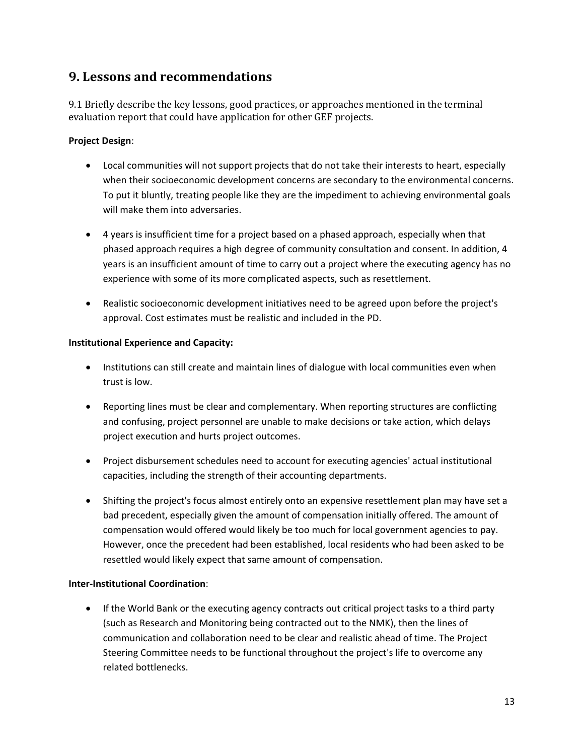### **9. Lessons and recommendations**

9.1 Briefly describe the key lessons, good practices, or approaches mentioned in the terminal evaluation report that could have application for other GEF projects.

### **Project Design**:

- Local communities will not support projects that do not take their interests to heart, especially when their socioeconomic development concerns are secondary to the environmental concerns. To put it bluntly, treating people like they are the impediment to achieving environmental goals will make them into adversaries.
- 4 years is insufficient time for a project based on a phased approach, especially when that phased approach requires a high degree of community consultation and consent. In addition, 4 years is an insufficient amount of time to carry out a project where the executing agency has no experience with some of its more complicated aspects, such as resettlement.
- Realistic socioeconomic development initiatives need to be agreed upon before the project's approval. Cost estimates must be realistic and included in the PD.

### **Institutional Experience and Capacity:**

- Institutions can still create and maintain lines of dialogue with local communities even when trust is low.
- Reporting lines must be clear and complementary. When reporting structures are conflicting and confusing, project personnel are unable to make decisions or take action, which delays project execution and hurts project outcomes.
- Project disbursement schedules need to account for executing agencies' actual institutional capacities, including the strength of their accounting departments.
- Shifting the project's focus almost entirely onto an expensive resettlement plan may have set a bad precedent, especially given the amount of compensation initially offered. The amount of compensation would offered would likely be too much for local government agencies to pay. However, once the precedent had been established, local residents who had been asked to be resettled would likely expect that same amount of compensation.

#### **Inter-Institutional Coordination**:

• If the World Bank or the executing agency contracts out critical project tasks to a third party (such as Research and Monitoring being contracted out to the NMK), then the lines of communication and collaboration need to be clear and realistic ahead of time. The Project Steering Committee needs to be functional throughout the project's life to overcome any related bottlenecks.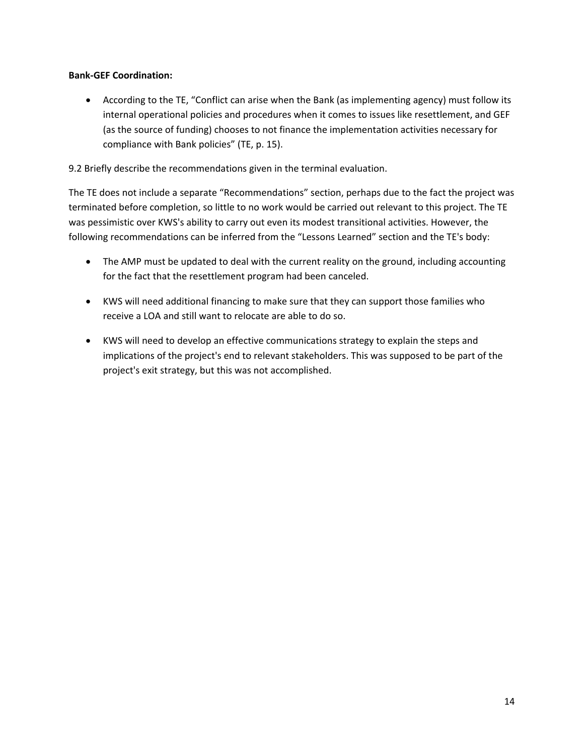### **Bank-GEF Coordination:**

• According to the TE, "Conflict can arise when the Bank (as implementing agency) must follow its internal operational policies and procedures when it comes to issues like resettlement, and GEF (as the source of funding) chooses to not finance the implementation activities necessary for compliance with Bank policies" (TE, p. 15).

9.2 Briefly describe the recommendations given in the terminal evaluation.

The TE does not include a separate "Recommendations" section, perhaps due to the fact the project was terminated before completion, so little to no work would be carried out relevant to this project. The TE was pessimistic over KWS's ability to carry out even its modest transitional activities. However, the following recommendations can be inferred from the "Lessons Learned" section and the TE's body:

- The AMP must be updated to deal with the current reality on the ground, including accounting for the fact that the resettlement program had been canceled.
- KWS will need additional financing to make sure that they can support those families who receive a LOA and still want to relocate are able to do so.
- KWS will need to develop an effective communications strategy to explain the steps and implications of the project's end to relevant stakeholders. This was supposed to be part of the project's exit strategy, but this was not accomplished.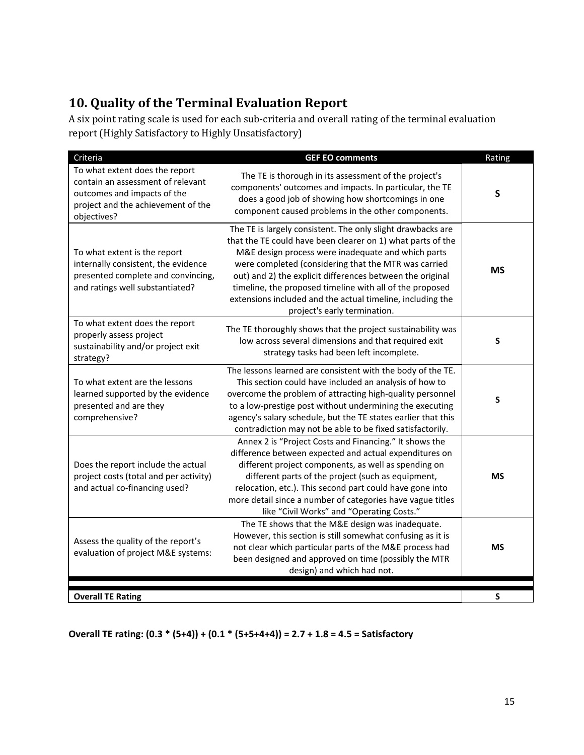## **10. Quality of the Terminal Evaluation Report**

A six point rating scale is used for each sub-criteria and overall rating of the terminal evaluation report (Highly Satisfactory to Highly Unsatisfactory)

| Criteria                                                                                                                                                | <b>GEF EO comments</b>                                                                                                                                                                                                                                                                                                                                                                                                                                          | Rating    |
|---------------------------------------------------------------------------------------------------------------------------------------------------------|-----------------------------------------------------------------------------------------------------------------------------------------------------------------------------------------------------------------------------------------------------------------------------------------------------------------------------------------------------------------------------------------------------------------------------------------------------------------|-----------|
| To what extent does the report<br>contain an assessment of relevant<br>outcomes and impacts of the<br>project and the achievement of the<br>objectives? | The TE is thorough in its assessment of the project's<br>components' outcomes and impacts. In particular, the TE<br>does a good job of showing how shortcomings in one<br>component caused problems in the other components.                                                                                                                                                                                                                                    | S         |
| To what extent is the report<br>internally consistent, the evidence<br>presented complete and convincing,<br>and ratings well substantiated?            | The TE is largely consistent. The only slight drawbacks are<br>that the TE could have been clearer on 1) what parts of the<br>M&E design process were inadequate and which parts<br>were completed (considering that the MTR was carried<br>out) and 2) the explicit differences between the original<br>timeline, the proposed timeline with all of the proposed<br>extensions included and the actual timeline, including the<br>project's early termination. | <b>MS</b> |
| To what extent does the report<br>properly assess project<br>sustainability and/or project exit<br>strategy?                                            | The TE thoroughly shows that the project sustainability was<br>low across several dimensions and that required exit<br>strategy tasks had been left incomplete.                                                                                                                                                                                                                                                                                                 | S         |
| To what extent are the lessons<br>learned supported by the evidence<br>presented and are they<br>comprehensive?                                         | The lessons learned are consistent with the body of the TE.<br>This section could have included an analysis of how to<br>overcome the problem of attracting high-quality personnel<br>to a low-prestige post without undermining the executing<br>agency's salary schedule, but the TE states earlier that this<br>contradiction may not be able to be fixed satisfactorily.                                                                                    | S         |
| Does the report include the actual<br>project costs (total and per activity)<br>and actual co-financing used?                                           | Annex 2 is "Project Costs and Financing." It shows the<br>difference between expected and actual expenditures on<br>different project components, as well as spending on<br>different parts of the project (such as equipment,<br>relocation, etc.). This second part could have gone into<br>more detail since a number of categories have vague titles<br>like "Civil Works" and "Operating Costs."                                                           | <b>MS</b> |
| Assess the quality of the report's<br>evaluation of project M&E systems:                                                                                | The TE shows that the M&E design was inadequate.<br>However, this section is still somewhat confusing as it is<br>not clear which particular parts of the M&E process had<br>been designed and approved on time (possibly the MTR<br>design) and which had not.                                                                                                                                                                                                 | <b>MS</b> |
| <b>Overall TE Rating</b>                                                                                                                                |                                                                                                                                                                                                                                                                                                                                                                                                                                                                 | S         |

**Overall TE rating: (0.3 \* (5+4)) + (0.1 \* (5+5+4+4)) = 2.7 + 1.8 = 4.5 = Satisfactory**